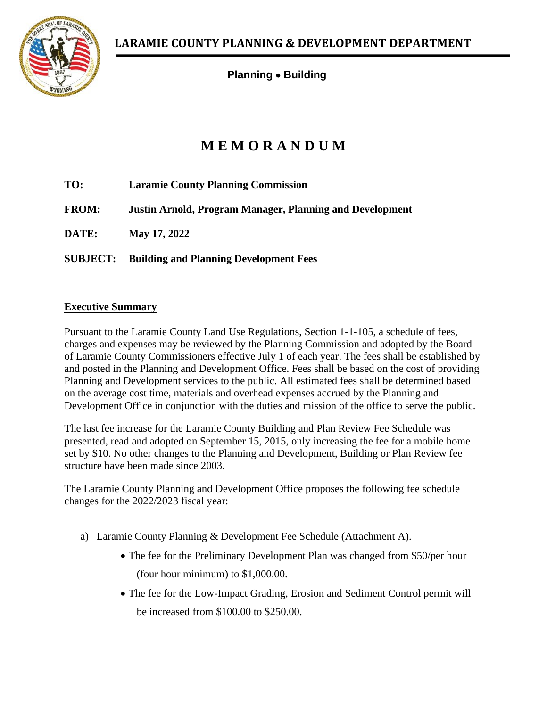

**Planning** • **Building**

# **M E M O R A N D U M**

| TO:             | <b>Laramie County Planning Commission</b>                       |  |  |
|-----------------|-----------------------------------------------------------------|--|--|
| <b>FROM:</b>    | <b>Justin Arnold, Program Manager, Planning and Development</b> |  |  |
| DATE:           | May 17, 2022                                                    |  |  |
| <b>SUBJECT:</b> | <b>Building and Planning Development Fees</b>                   |  |  |

### **Executive Summary**

Pursuant to the Laramie County Land Use Regulations, Section 1-1-105, a schedule of fees, charges and expenses may be reviewed by the Planning Commission and adopted by the Board of Laramie County Commissioners effective July 1 of each year. The fees shall be established by and posted in the Planning and Development Office. Fees shall be based on the cost of providing Planning and Development services to the public. All estimated fees shall be determined based on the average cost time, materials and overhead expenses accrued by the Planning and Development Office in conjunction with the duties and mission of the office to serve the public.

The last fee increase for the Laramie County Building and Plan Review Fee Schedule was presented, read and adopted on September 15, 2015, only increasing the fee for a mobile home set by \$10. No other changes to the Planning and Development, Building or Plan Review fee structure have been made since 2003.

The Laramie County Planning and Development Office proposes the following fee schedule changes for the 2022/2023 fiscal year:

- a) Laramie County Planning & Development Fee Schedule (Attachment A).
	- The fee for the Preliminary Development Plan was changed from \$50/per hour (four hour minimum) to \$1,000.00.
	- The fee for the Low-Impact Grading, Erosion and Sediment Control permit will be increased from \$100.00 to \$250.00.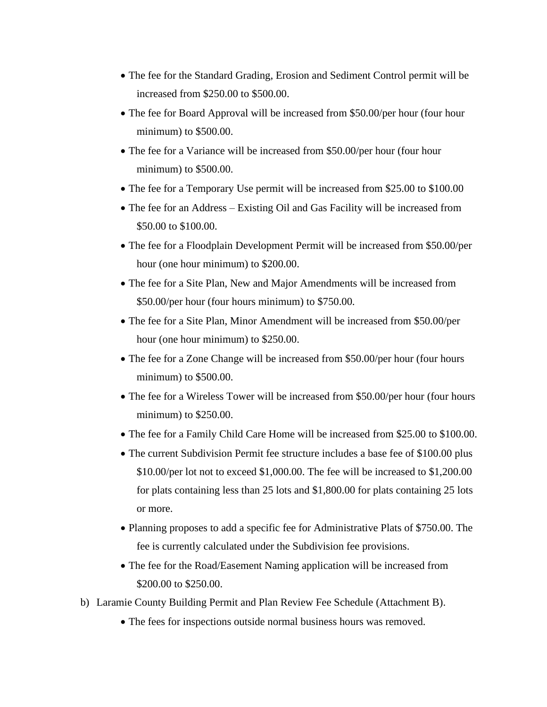- The fee for the Standard Grading, Erosion and Sediment Control permit will be increased from \$250.00 to \$500.00.
- The fee for Board Approval will be increased from \$50.00/per hour (four hour minimum) to \$500.00.
- The fee for a Variance will be increased from \$50.00/per hour (four hour minimum) to \$500.00.
- The fee for a Temporary Use permit will be increased from \$25.00 to \$100.00
- The fee for an Address Existing Oil and Gas Facility will be increased from \$50.00 to \$100.00.
- The fee for a Floodplain Development Permit will be increased from \$50.00/per hour (one hour minimum) to \$200.00.
- The fee for a Site Plan, New and Major Amendments will be increased from \$50.00/per hour (four hours minimum) to \$750.00.
- The fee for a Site Plan, Minor Amendment will be increased from \$50.00/per hour (one hour minimum) to \$250.00.
- The fee for a Zone Change will be increased from \$50.00/per hour (four hours minimum) to \$500.00.
- The fee for a Wireless Tower will be increased from \$50.00/per hour (four hours minimum) to \$250.00.
- The fee for a Family Child Care Home will be increased from \$25.00 to \$100.00.
- The current Subdivision Permit fee structure includes a base fee of \$100.00 plus \$10.00/per lot not to exceed \$1,000.00. The fee will be increased to \$1,200.00 for plats containing less than 25 lots and \$1,800.00 for plats containing 25 lots or more.
- Planning proposes to add a specific fee for Administrative Plats of \$750.00. The fee is currently calculated under the Subdivision fee provisions.
- The fee for the Road/Easement Naming application will be increased from \$200.00 to \$250.00.
- b) Laramie County Building Permit and Plan Review Fee Schedule (Attachment B).
	- The fees for inspections outside normal business hours was removed.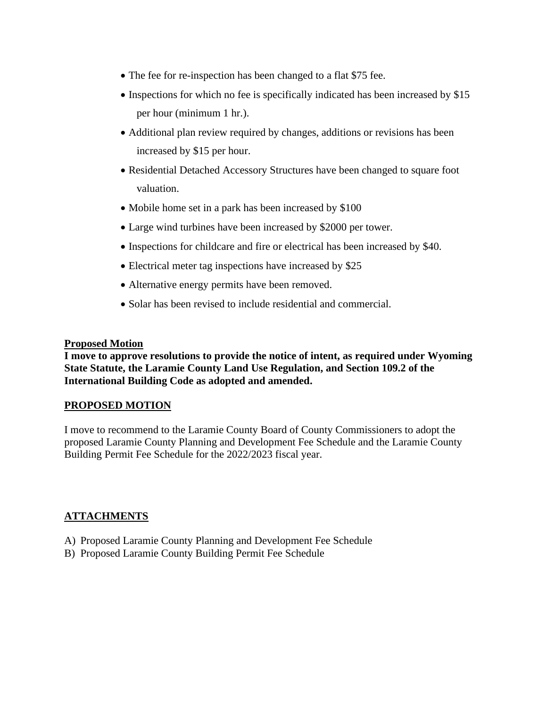- The fee for re-inspection has been changed to a flat \$75 fee.
- Inspections for which no fee is specifically indicated has been increased by \$15 per hour (minimum 1 hr.).
- Additional plan review required by changes, additions or revisions has been increased by \$15 per hour.
- Residential Detached Accessory Structures have been changed to square foot valuation.
- Mobile home set in a park has been increased by \$100
- Large wind turbines have been increased by \$2000 per tower.
- Inspections for childcare and fire or electrical has been increased by \$40.
- Electrical meter tag inspections have increased by \$25
- Alternative energy permits have been removed.
- Solar has been revised to include residential and commercial.

#### **Proposed Motion**

**I move to approve resolutions to provide the notice of intent, as required under Wyoming State Statute, the Laramie County Land Use Regulation, and Section 109.2 of the International Building Code as adopted and amended.**

#### **PROPOSED MOTION**

I move to recommend to the Laramie County Board of County Commissioners to adopt the proposed Laramie County Planning and Development Fee Schedule and the Laramie County Building Permit Fee Schedule for the 2022/2023 fiscal year.

#### **ATTACHMENTS**

- A) Proposed Laramie County Planning and Development Fee Schedule
- B) Proposed Laramie County Building Permit Fee Schedule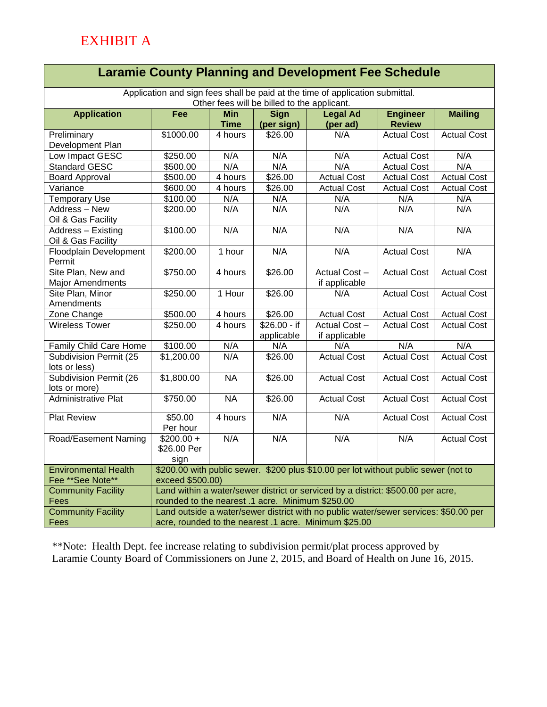## **Laramie County Planning and Development Fee Schedule**

Application and sign fees shall be paid at the time of application submittal. Other fees will be billed to the applicant.

| Other fees will be billed to the applicant. |                                                                                                         |                     |                     |                    |                    |                    |  |  |
|---------------------------------------------|---------------------------------------------------------------------------------------------------------|---------------------|---------------------|--------------------|--------------------|--------------------|--|--|
| <b>Application</b>                          | <b>Fee</b>                                                                                              | <b>Min</b>          | <b>Sign</b>         | <b>Legal Ad</b>    | <b>Engineer</b>    | <b>Mailing</b>     |  |  |
|                                             |                                                                                                         | <b>Time</b>         | (per sign)          | (per ad)           | <b>Review</b>      |                    |  |  |
| Preliminary                                 | \$1000.00                                                                                               | 4 hours             | \$26.00             | N/A                | <b>Actual Cost</b> | <b>Actual Cost</b> |  |  |
| Development Plan                            |                                                                                                         |                     |                     |                    |                    |                    |  |  |
| Low Impact GESC                             | \$250.00                                                                                                | N/A                 | N/A                 | N/A                | <b>Actual Cost</b> | N/A                |  |  |
| <b>Standard GESC</b>                        | \$500.00                                                                                                | N/A                 | N/A                 | N/A                | <b>Actual Cost</b> | N/A                |  |  |
| <b>Board Approval</b>                       | \$500.00                                                                                                | 4 hours             | \$26.00             | <b>Actual Cost</b> | <b>Actual Cost</b> | <b>Actual Cost</b> |  |  |
| Variance                                    | \$600.00                                                                                                | 4 hours             | \$26.00             | <b>Actual Cost</b> | <b>Actual Cost</b> | <b>Actual Cost</b> |  |  |
| <b>Temporary Use</b>                        | \$100.00                                                                                                | N/A                 | N/A                 | N/A                | N/A                | N/A                |  |  |
| Address - New                               | \$200.00                                                                                                | N/A                 | N/A                 | N/A                | N/A                | N/A                |  |  |
| Oil & Gas Facility                          |                                                                                                         |                     |                     |                    |                    |                    |  |  |
| Address - Existing                          | \$100.00                                                                                                | N/A                 | N/A                 | N/A                | N/A                | N/A                |  |  |
| Oil & Gas Facility                          |                                                                                                         |                     |                     |                    |                    |                    |  |  |
| Floodplain Development                      | \$200.00                                                                                                | $\overline{1}$ hour | N/A                 | N/A                | <b>Actual Cost</b> | N/A                |  |  |
| Permit                                      |                                                                                                         |                     |                     |                    |                    |                    |  |  |
| Site Plan, New and                          | \$750.00                                                                                                | 4 hours             | \$26.00             | Actual Cost-       | <b>Actual Cost</b> | <b>Actual Cost</b> |  |  |
| <b>Major Amendments</b>                     |                                                                                                         |                     |                     | if applicable      |                    |                    |  |  |
| Site Plan, Minor                            | \$250.00                                                                                                | 1 Hour              | \$26.00             | N/A                | <b>Actual Cost</b> | <b>Actual Cost</b> |  |  |
| Amendments                                  |                                                                                                         |                     |                     |                    |                    |                    |  |  |
| Zone Change                                 | \$500.00                                                                                                | 4 hours             | \$26.00             | <b>Actual Cost</b> | <b>Actual Cost</b> | <b>Actual Cost</b> |  |  |
| <b>Wireless Tower</b>                       | \$250.00                                                                                                | 4 hours             | $$26.00 - if$       | Actual Cost-       | <b>Actual Cost</b> | <b>Actual Cost</b> |  |  |
|                                             |                                                                                                         |                     | applicable          | if applicable      |                    |                    |  |  |
| Family Child Care Home                      | \$100.00                                                                                                | N/A                 | N/A                 | N/A                | N/A                | N/A                |  |  |
| Subdivision Permit (25                      | \$1,200.00                                                                                              | N/A                 | $\overline{$}26.00$ | <b>Actual Cost</b> | <b>Actual Cost</b> | <b>Actual Cost</b> |  |  |
| lots or less)                               |                                                                                                         |                     |                     |                    |                    |                    |  |  |
| Subdivision Permit (26                      | \$1,800.00                                                                                              | <b>NA</b>           | \$26.00             | <b>Actual Cost</b> | <b>Actual Cost</b> | <b>Actual Cost</b> |  |  |
| lots or more)                               |                                                                                                         |                     |                     |                    |                    |                    |  |  |
| <b>Administrative Plat</b>                  | \$750.00                                                                                                | <b>NA</b>           | \$26.00             | <b>Actual Cost</b> | <b>Actual Cost</b> | <b>Actual Cost</b> |  |  |
|                                             | \$50.00                                                                                                 |                     | N/A                 | N/A                |                    |                    |  |  |
| <b>Plat Review</b>                          | Per hour                                                                                                | 4 hours             |                     |                    | <b>Actual Cost</b> | <b>Actual Cost</b> |  |  |
|                                             | $$200.00 +$                                                                                             | N/A                 | N/A                 | N/A                | N/A                | <b>Actual Cost</b> |  |  |
| Road/Easement Naming                        | \$26.00 Per                                                                                             |                     |                     |                    |                    |                    |  |  |
|                                             |                                                                                                         |                     |                     |                    |                    |                    |  |  |
| <b>Environmental Health</b>                 | sign                                                                                                    |                     |                     |                    |                    |                    |  |  |
| Fee ** See Note**                           | \$200.00 with public sewer. \$200 plus \$10.00 per lot without public sewer (not to<br>exceed \$500.00) |                     |                     |                    |                    |                    |  |  |
| <b>Community Facility</b>                   | Land within a water/sewer district or serviced by a district: \$500.00 per acre,                        |                     |                     |                    |                    |                    |  |  |
| Fees                                        | rounded to the nearest .1 acre. Minimum \$250.00                                                        |                     |                     |                    |                    |                    |  |  |
| <b>Community Facility</b>                   | Land outside a water/sewer district with no public water/sewer services: \$50.00 per                    |                     |                     |                    |                    |                    |  |  |
| Fees                                        | acre, rounded to the nearest .1 acre. Minimum \$25.00                                                   |                     |                     |                    |                    |                    |  |  |
|                                             |                                                                                                         |                     |                     |                    |                    |                    |  |  |

\*\*Note: Health Dept. fee increase relating to subdivision permit/plat process approved by Laramie County Board of Commissioners on June 2, 2015, and Board of Health on June 16, 2015.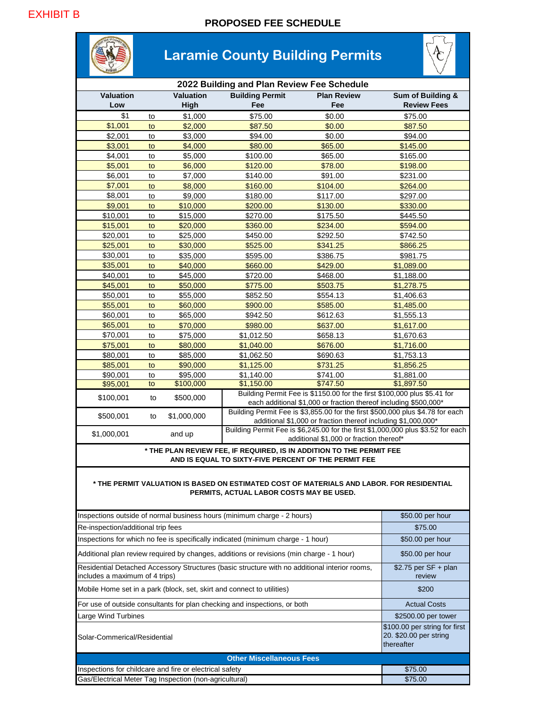

#### **\* THE PERMIT VALUATION IS BASED ON ESTIMATED COST OF MATERIALS AND LABOR. FOR RESIDENTIAL PERMITS, ACTUAL LABOR COSTS MAY BE USED.**

| Inspections outside of normal business hours (minimum charge - 2 hours)                                                         | \$50.00 per hour                                                      |  |
|---------------------------------------------------------------------------------------------------------------------------------|-----------------------------------------------------------------------|--|
| Re-inspection/additional trip fees                                                                                              | \$75.00                                                               |  |
| Inspections for which no fee is specifically indicated (minimum charge - 1 hour)                                                | \$50.00 per hour                                                      |  |
| Additional plan review required by changes, additions or revisions (min charge - 1 hour)                                        | \$50.00 per hour                                                      |  |
| Residential Detached Accessory Structures (basic structure with no additional interior rooms,<br>includes a maximum of 4 trips) | $$2.75$ per SF + plan<br>review                                       |  |
| Mobile Home set in a park (block, set, skirt and connect to utilities)                                                          | \$200                                                                 |  |
| For use of outside consultants for plan checking and inspections, or both                                                       | <b>Actual Costs</b>                                                   |  |
| <b>Large Wind Turbines</b>                                                                                                      | \$2500.00 per tower                                                   |  |
| Solar-Commerical/Residential                                                                                                    | \$100.00 per string for first<br>20. \$20.00 per string<br>thereafter |  |
| <b>Other Miscellaneous Fees</b>                                                                                                 |                                                                       |  |
| Inspections for childcare and fire or electrical safety                                                                         | \$75.00                                                               |  |
| Gas/Electrical Meter Tag Inspection (non-agricultural)                                                                          | \$75.00                                                               |  |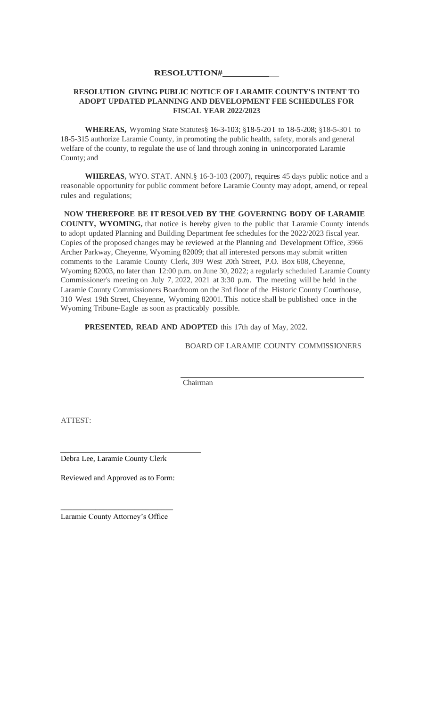#### **RESOLUTION# \_**

#### **RESOLUTION GIVING PUBLIC NOTICE OF LARAMIE COUNTY'S INTENT TO ADOPT UPDATED PLANNING AND DEVELOPMENT FEE SCHEDULES FOR FISCAL YEAR 2022/2023**

**WHEREAS,** Wyoming State Statutes§ 16-3-103; §18-5-20 I to 18-5-208; §18-5-30 I to 18-5-315 authorize Laramie County, in promoting the public health, safety, morals and general welfare of the county, to regulate the use of land through zoning in unincorporated Laramie County; and

**WHEREAS,** WYO. STAT. ANN.§ 16-3-103 (2007), requires 45 days public notice and a reasonable opportunity for public comment before Laramie County may adopt, amend, or repeal rules and regulations;

**NOW THEREFORE BE IT RESOLVED BY THE GOVERNING BODY OF LARAMIE COUNTY, WYOMING,** that notice is hereby given to the public that Laramie County intends to adopt updated Planning and Building Department fee schedules for the 2022/2023 fiscal year. Copies of the proposed changes may be reviewed at the Planning and Development Office, 3966 Archer Parkway, Cheyenne, Wyoming 82009; that all interested persons may submit written comments to the Laramie County Clerk, 309 West 20th Street, P.O. Box 608, Cheyenne, Wyoming 82003, no later than 12:00 p.m. on June 30, 2022; a regularly scheduled Laramie County Commissioner's meeting on July 7, 2022, 2021 at 3:30 p.m. The meeting will be held in the Laramie County Commissioners Boardroom on the 3rd floor of the Historic County Courthouse, 310 West 19th Street, Cheyenne, Wyoming 82001. This notice shall be published once in the Wyoming Tribune-Eagle as soon as practicably possible.

**PRESENTED, READ AND ADOPTED** this 17th day of May, 2022.

BOARD OF LARAMIE COUNTY COMMISSIONERS

Chairman

ATTEST:

Debra Lee, Laramie County Clerk

Reviewed and Approved as to Form:

\_\_\_\_\_\_\_\_\_\_\_\_\_\_\_\_\_\_\_\_\_\_\_\_\_\_\_\_\_ Laramie County Attorney's Office